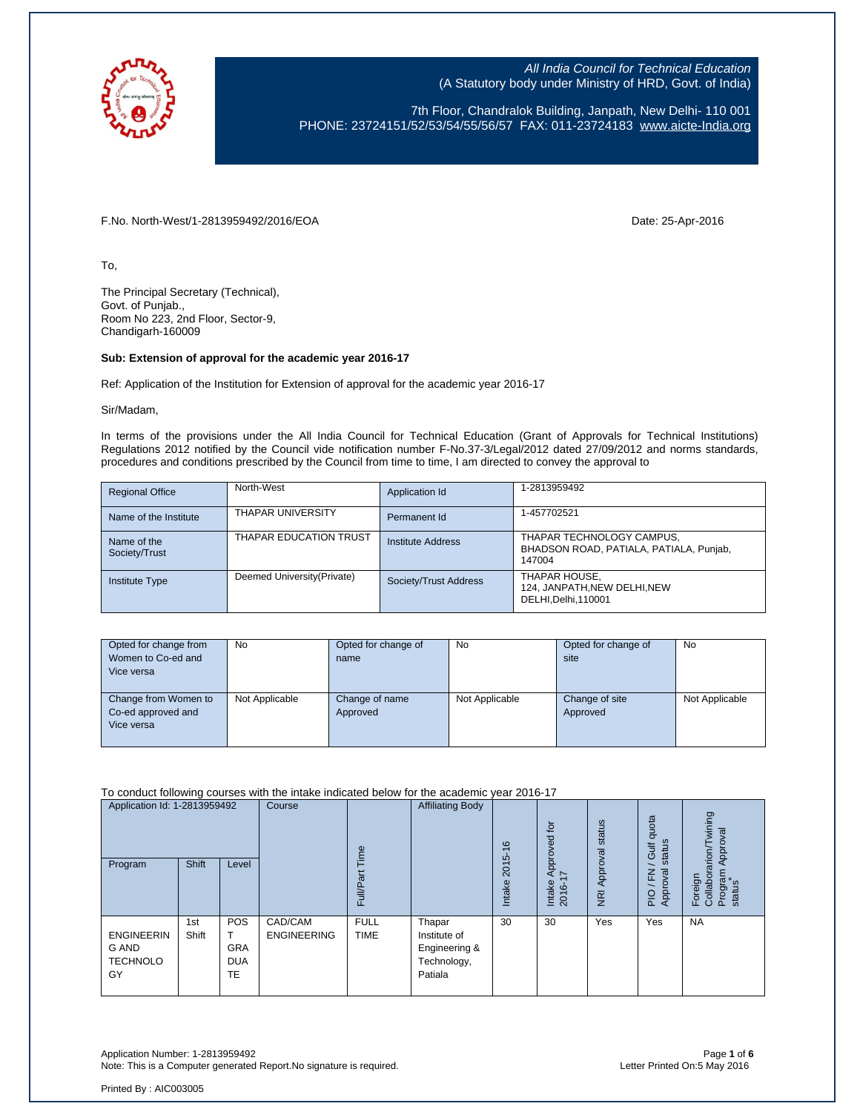

7th Floor, Chandralok Building, Janpath, New Delhi- 110 001 PHONE: 23724151/52/53/54/55/56/57 FAX: 011-23724183 [www.aicte-India.org](http://www.aicte-india.org/)

F.No. North-West/1-2813959492/2016/EOA Date: 25-Apr-2016

To,

The Principal Secretary (Technical), Govt. of Punjab., Room No 223, 2nd Floor, Sector-9, Chandigarh-160009

#### **Sub: Extension of approval for the academic year 2016-17**

Ref: Application of the Institution for Extension of approval for the academic year 2016-17

Sir/Madam,

In terms of the provisions under the All India Council for Technical Education (Grant of Approvals for Technical Institutions) Regulations 2012 notified by the Council vide notification number F-No.37-3/Legal/2012 dated 27/09/2012 and norms standards, procedures and conditions prescribed by the Council from time to time, I am directed to convey the approval to

| <b>Regional Office</b>       | North-West                  | Application Id        | 1-2813959492                                                                   |
|------------------------------|-----------------------------|-----------------------|--------------------------------------------------------------------------------|
| Name of the Institute        | <b>THAPAR UNIVERSITY</b>    | Permanent Id          | 1-457702521                                                                    |
| Name of the<br>Society/Trust | THAPAR EDUCATION TRUST      | Institute Address     | THAPAR TECHNOLOGY CAMPUS,<br>BHADSON ROAD, PATIALA, PATIALA, Punjab,<br>147004 |
| <b>Institute Type</b>        | Deemed University (Private) | Society/Trust Address | THAPAR HOUSE,<br>124, JANPATH, NEW DELHI, NEW<br>DELHI, Delhi, 110001          |

| Opted for change from<br>Women to Co-ed and<br>Vice versa | No             | Opted for change of<br>name | No             | Opted for change of<br>site | No             |
|-----------------------------------------------------------|----------------|-----------------------------|----------------|-----------------------------|----------------|
| Change from Women to<br>Co-ed approved and<br>Vice versa  | Not Applicable | Change of name<br>Approved  | Not Applicable | Change of site<br>Approved  | Not Applicable |

To conduct following courses with the intake indicated below for the academic year 2016-17

| Application Id: 1-2813959492<br>Program             | Shift        | Level                                        | Course                        | jme<br>ಹ<br>Full/Pa        | <b>Affiliating Body</b>                                           | $\frac{6}{5}$<br>2015<br><b>Intake</b> | $\overline{c}$<br>Approved<br>$\overline{ }$<br>Intake<br>2016- | Approval status<br>$\frac{1}{2}$ | quota<br>status<br>Gulf<br>roval<br>준<br>App<br>PIO | wining<br>Approval<br>rarion<br>Program<br>status<br>Foreign<br>Collabor |
|-----------------------------------------------------|--------------|----------------------------------------------|-------------------------------|----------------------------|-------------------------------------------------------------------|----------------------------------------|-----------------------------------------------------------------|----------------------------------|-----------------------------------------------------|--------------------------------------------------------------------------|
| <b>ENGINEERIN</b><br>G AND<br><b>TECHNOLO</b><br>GY | 1st<br>Shift | <b>POS</b><br><b>GRA</b><br><b>DUA</b><br>TE | CAD/CAM<br><b>ENGINEERING</b> | <b>FULL</b><br><b>TIME</b> | Thapar<br>Institute of<br>Engineering &<br>Technology,<br>Patiala | 30                                     | 30                                                              | Yes                              | Yes                                                 | <b>NA</b>                                                                |

Application Number: 1-2813959492<br>Note: This is a Computer generated Report.No signature is required.<br>Letter Printed On:5 May 2016 Note: This is a Computer generated Report.No signature is required.

Printed By : AIC003005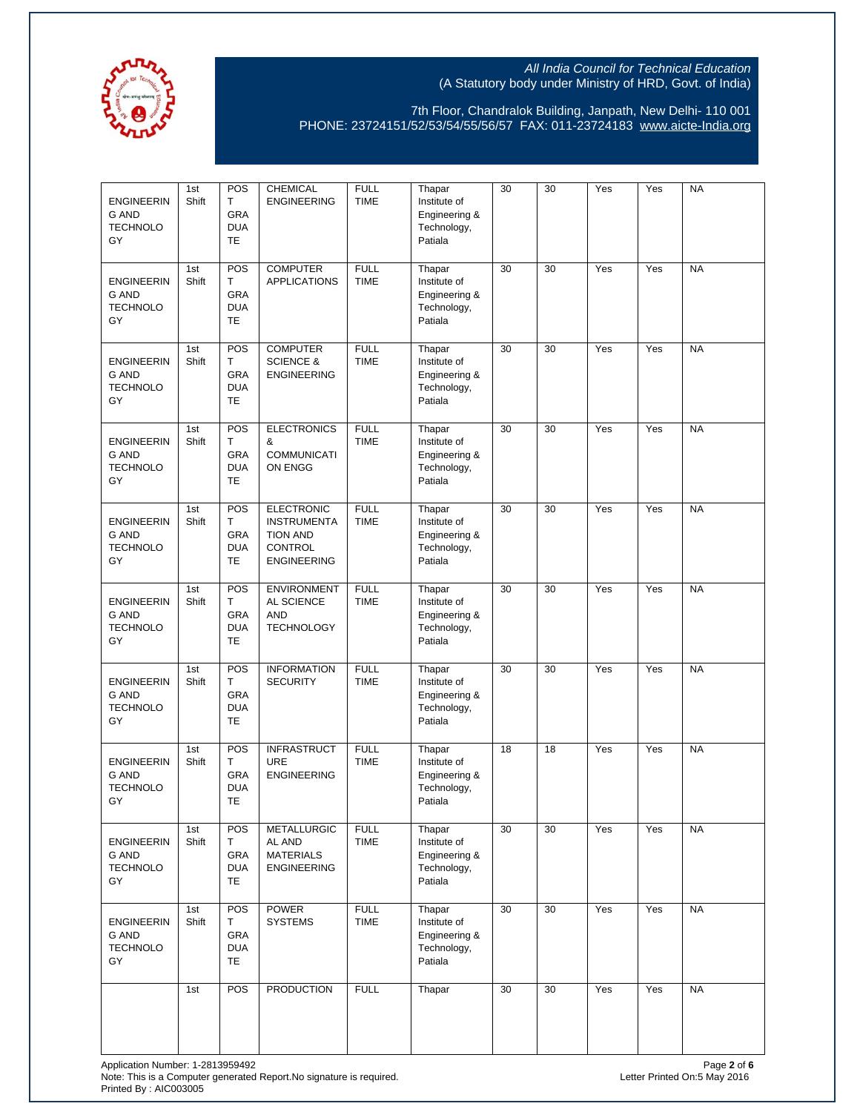

| <b>ENGINEERIN</b><br>G AND<br><b>TECHNOLO</b><br>GY        | 1st<br>Shift | POS<br>Т<br><b>GRA</b><br><b>DUA</b><br><b>TE</b> | CHEMICAL<br><b>ENGINEERING</b>                                                                     | <b>FULL</b><br><b>TIME</b> | Thapar<br>Institute of<br>Engineering &<br>Technology,<br>Patiala | 30 | 30 | Yes | Yes | <b>NA</b> |
|------------------------------------------------------------|--------------|---------------------------------------------------|----------------------------------------------------------------------------------------------------|----------------------------|-------------------------------------------------------------------|----|----|-----|-----|-----------|
| <b>ENGINEERIN</b><br>G AND<br><b>TECHNOLO</b><br>GY        | 1st<br>Shift | POS<br>т<br>GRA<br><b>DUA</b><br><b>TE</b>        | <b>COMPUTER</b><br><b>APPLICATIONS</b>                                                             | <b>FULL</b><br><b>TIME</b> | Thapar<br>Institute of<br>Engineering &<br>Technology,<br>Patiala | 30 | 30 | Yes | Yes | <b>NA</b> |
| <b>ENGINEERIN</b><br>G AND<br><b>TECHNOLO</b><br>GY        | 1st<br>Shift | POS<br>Т<br>GRA<br><b>DUA</b><br><b>TE</b>        | <b>COMPUTER</b><br><b>SCIENCE &amp;</b><br><b>ENGINEERING</b>                                      | <b>FULL</b><br><b>TIME</b> | Thapar<br>Institute of<br>Engineering &<br>Technology,<br>Patiala | 30 | 30 | Yes | Yes | <b>NA</b> |
| <b>ENGINEERIN</b><br><b>G AND</b><br><b>TECHNOLO</b><br>GY | 1st<br>Shift | POS<br>т<br>GRA<br><b>DUA</b><br><b>TE</b>        | <b>ELECTRONICS</b><br>&<br><b>COMMUNICATI</b><br>ON ENGG                                           | <b>FULL</b><br><b>TIME</b> | Thapar<br>Institute of<br>Engineering &<br>Technology,<br>Patiala | 30 | 30 | Yes | Yes | <b>NA</b> |
| <b>ENGINEERIN</b><br><b>G AND</b><br><b>TECHNOLO</b><br>GY | 1st<br>Shift | POS<br>Т<br>GRA<br><b>DUA</b><br><b>TE</b>        | <b>ELECTRONIC</b><br><b>INSTRUMENTA</b><br><b>TION AND</b><br><b>CONTROL</b><br><b>ENGINEERING</b> | <b>FULL</b><br><b>TIME</b> | Thapar<br>Institute of<br>Engineering &<br>Technology,<br>Patiala | 30 | 30 | Yes | Yes | <b>NA</b> |
| <b>ENGINEERIN</b><br>G AND<br><b>TECHNOLO</b><br>GY        | 1st<br>Shift | POS<br>т<br><b>GRA</b><br><b>DUA</b><br><b>TE</b> | <b>ENVIRONMENT</b><br>AL SCIENCE<br><b>AND</b><br><b>TECHNOLOGY</b>                                | <b>FULL</b><br><b>TIME</b> | Thapar<br>Institute of<br>Engineering &<br>Technology,<br>Patiala | 30 | 30 | Yes | Yes | <b>NA</b> |
| <b>ENGINEERIN</b><br><b>G AND</b><br><b>TECHNOLO</b><br>GY | 1st<br>Shift | POS<br>Т<br>GRA<br><b>DUA</b><br><b>TE</b>        | <b>INFORMATION</b><br><b>SECURITY</b>                                                              | <b>FULL</b><br><b>TIME</b> | Thapar<br>Institute of<br>Engineering &<br>Technology,<br>Patiala | 30 | 30 | Yes | Yes | <b>NA</b> |
| <b>ENGINEERIN</b><br><b>G AND</b><br><b>TECHNOLO</b><br>GY | 1st<br>Shift | POS<br>т<br>GRA<br><b>DUA</b><br>TE               | <b>INFRASTRUCT</b><br>URE<br><b>ENGINEERING</b>                                                    | <b>FULL</b><br><b>TIME</b> | Thapar<br>Institute of<br>Engineering &<br>Technology,<br>Patiala | 18 | 18 | Yes | Yes | <b>NA</b> |
| <b>ENGINEERIN</b><br>G AND<br><b>TECHNOLO</b><br>GY        | 1st<br>Shift | POS<br>Τ<br>GRA<br><b>DUA</b><br>TE               | <b>METALLURGIC</b><br>AL AND<br><b>MATERIALS</b><br><b>ENGINEERING</b>                             | <b>FULL</b><br><b>TIME</b> | Thapar<br>Institute of<br>Engineering &<br>Technology,<br>Patiala | 30 | 30 | Yes | Yes | <b>NA</b> |
| <b>ENGINEERIN</b><br>G AND<br><b>TECHNOLO</b><br>GY        | 1st<br>Shift | POS<br>Т<br>GRA<br><b>DUA</b><br>TE               | <b>POWER</b><br><b>SYSTEMS</b>                                                                     | <b>FULL</b><br><b>TIME</b> | Thapar<br>Institute of<br>Engineering &<br>Technology,<br>Patiala | 30 | 30 | Yes | Yes | <b>NA</b> |
|                                                            | 1st          | POS                                               | <b>PRODUCTION</b>                                                                                  | <b>FULL</b>                | Thapar                                                            | 30 | 30 | Yes | Yes | <b>NA</b> |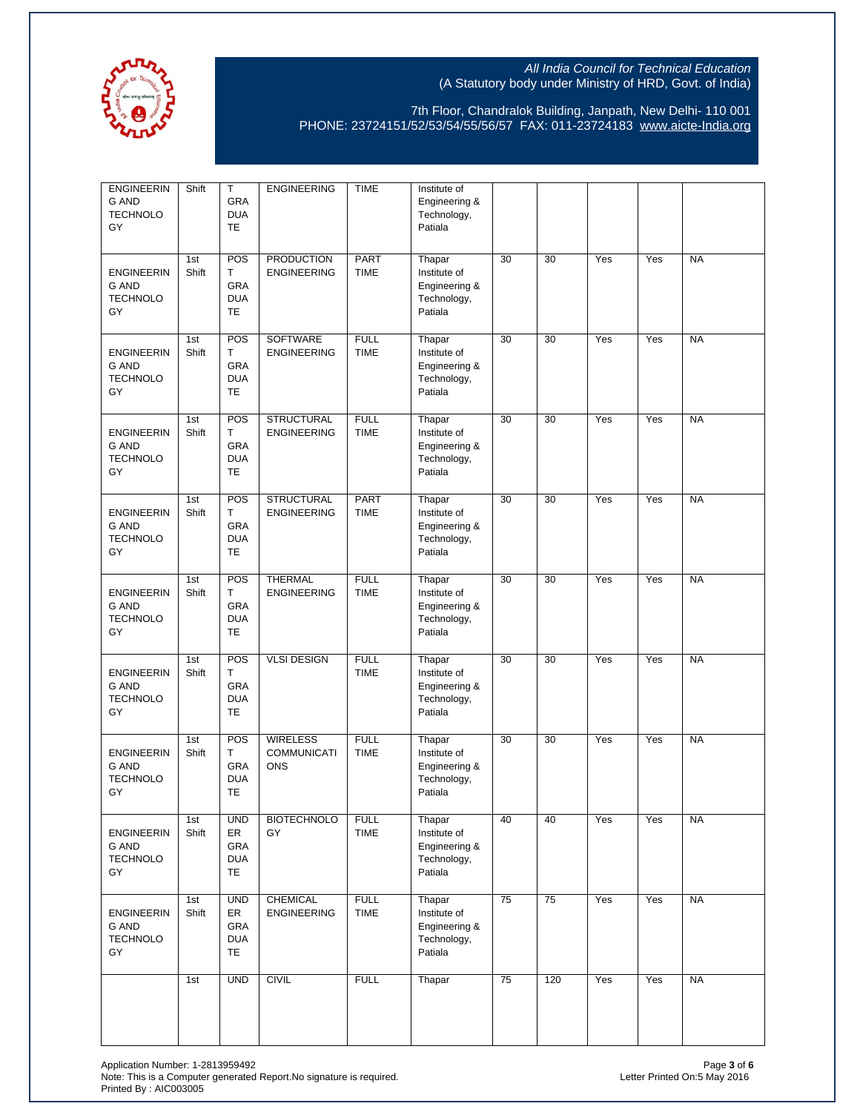

| <b>ENGINEERIN</b><br>G AND<br><b>TECHNOLO</b><br>GY        | Shift        | Т<br><b>GRA</b><br><b>DUA</b><br><b>TE</b>  | <b>ENGINEERING</b>                                  | <b>TIME</b>                | Institute of<br>Engineering &<br>Technology,<br>Patiala           |    |     |     |     |           |
|------------------------------------------------------------|--------------|---------------------------------------------|-----------------------------------------------------|----------------------------|-------------------------------------------------------------------|----|-----|-----|-----|-----------|
| <b>ENGINEERIN</b><br>G AND<br><b>TECHNOLO</b><br>GY        | 1st<br>Shift | POS<br>Τ<br>GRA<br><b>DUA</b><br><b>TE</b>  | <b>PRODUCTION</b><br><b>ENGINEERING</b>             | <b>PART</b><br><b>TIME</b> | Thapar<br>Institute of<br>Engineering &<br>Technology,<br>Patiala | 30 | 30  | Yes | Yes | <b>NA</b> |
| <b>ENGINEERIN</b><br>G AND<br><b>TECHNOLO</b><br>GY        | 1st<br>Shift | POS<br>Τ<br>GRA<br><b>DUA</b><br><b>TE</b>  | SOFTWARE<br><b>ENGINEERING</b>                      | <b>FULL</b><br><b>TIME</b> | Thapar<br>Institute of<br>Engineering &<br>Technology,<br>Patiala | 30 | 30  | Yes | Yes | <b>NA</b> |
| <b>ENGINEERIN</b><br><b>G AND</b><br><b>TECHNOLO</b><br>GY | 1st<br>Shift | POS<br>Τ<br><b>GRA</b><br><b>DUA</b><br>TE  | <b>STRUCTURAL</b><br><b>ENGINEERING</b>             | <b>FULL</b><br><b>TIME</b> | Thapar<br>Institute of<br>Engineering &<br>Technology,<br>Patiala | 30 | 30  | Yes | Yes | <b>NA</b> |
| <b>ENGINEERIN</b><br><b>G AND</b><br><b>TECHNOLO</b><br>GY | 1st<br>Shift | POS<br>Τ<br>GRA<br><b>DUA</b><br>TE         | <b>STRUCTURAL</b><br><b>ENGINEERING</b>             | PART<br><b>TIME</b>        | Thapar<br>Institute of<br>Engineering &<br>Technology,<br>Patiala | 30 | 30  | Yes | Yes | <b>NA</b> |
| <b>ENGINEERIN</b><br><b>G AND</b><br><b>TECHNOLO</b><br>GY | 1st<br>Shift | POS<br>Τ<br>GRA<br><b>DUA</b><br>TE         | <b>THERMAL</b><br><b>ENGINEERING</b>                | <b>FULL</b><br><b>TIME</b> | Thapar<br>Institute of<br>Engineering &<br>Technology,<br>Patiala | 30 | 30  | Yes | Yes | <b>NA</b> |
| <b>ENGINEERIN</b><br><b>G AND</b><br><b>TECHNOLO</b><br>GY | 1st<br>Shift | POS<br>Τ<br>GRA<br><b>DUA</b><br>TE         | <b>VLSI DESIGN</b>                                  | <b>FULL</b><br><b>TIME</b> | Thapar<br>Institute of<br>Engineering &<br>Technology,<br>Patiala | 30 | 30  | Yes | Yes | <b>NA</b> |
| <b>ENGINEERIN</b><br><b>G AND</b><br><b>TECHNOLO</b><br>GY | 1st<br>Shift | POS<br>Τ<br>GRA<br><b>DUA</b><br>TE         | <b>WIRELESS</b><br><b>COMMUNICATI</b><br><b>ONS</b> | <b>FULL</b><br><b>TIME</b> | Thapar<br>Institute of<br>Engineering &<br>Technology,<br>Patiala | 30 | 30  | Yes | Yes | <b>NA</b> |
| <b>ENGINEERIN</b><br>G AND<br><b>TECHNOLO</b><br>GY        | 1st<br>Shift | <b>UND</b><br>ER<br>GRA<br><b>DUA</b><br>TE | <b>BIOTECHNOLO</b><br>GY                            | <b>FULL</b><br><b>TIME</b> | Thapar<br>Institute of<br>Engineering &<br>Technology,<br>Patiala | 40 | 40  | Yes | Yes | <b>NA</b> |
| <b>ENGINEERIN</b><br>G AND<br><b>TECHNOLO</b><br>GY        | 1st<br>Shift | <b>UND</b><br>ER<br>GRA<br><b>DUA</b><br>TE | <b>CHEMICAL</b><br><b>ENGINEERING</b>               | <b>FULL</b><br><b>TIME</b> | Thapar<br>Institute of<br>Engineering &<br>Technology,<br>Patiala | 75 | 75  | Yes | Yes | <b>NA</b> |
|                                                            | 1st          | <b>UND</b>                                  | <b>CIVIL</b>                                        | <b>FULL</b>                | Thapar                                                            | 75 | 120 | Yes | Yes | <b>NA</b> |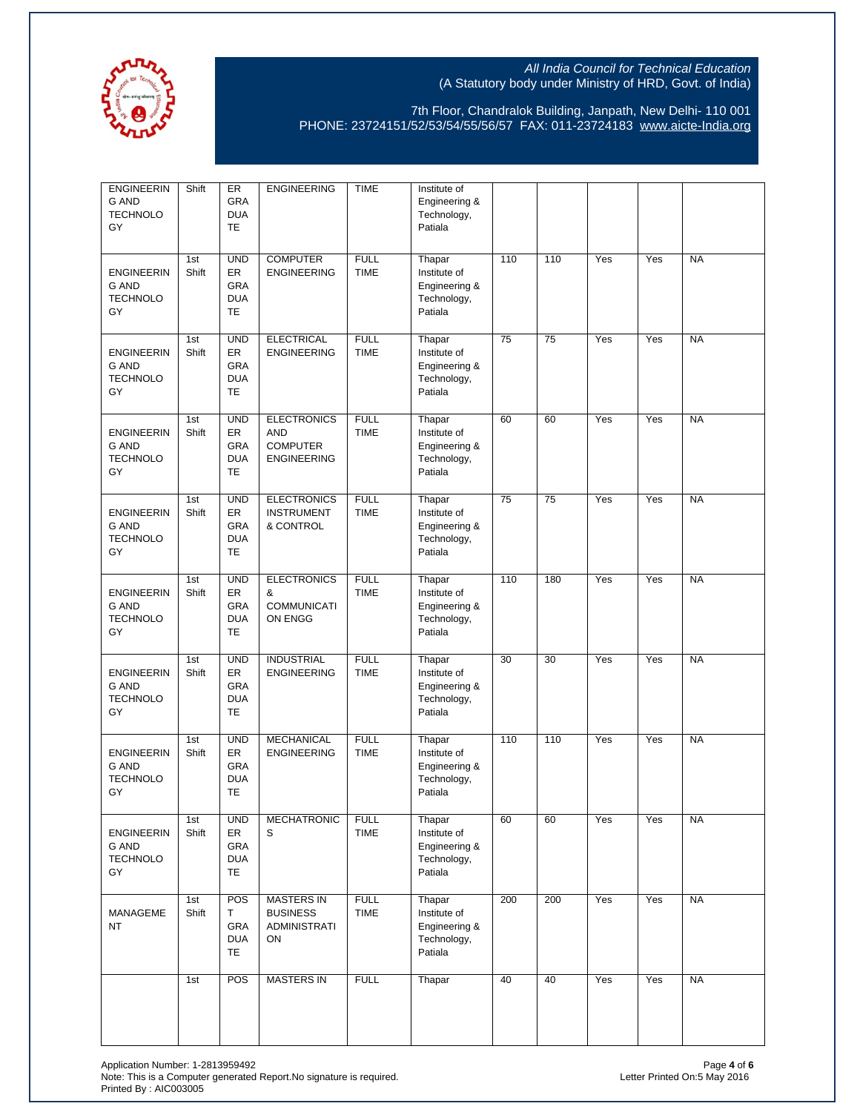

| <b>ENGINEERIN</b><br><b>G AND</b><br><b>TECHNOLO</b><br>GY | Shift        | ER<br><b>GRA</b><br><b>DUA</b><br><b>TE</b>        | <b>ENGINEERING</b>                                                        | <b>TIME</b>                | Institute of<br>Engineering &<br>Technology,<br>Patiala           |     |     |     |     |           |
|------------------------------------------------------------|--------------|----------------------------------------------------|---------------------------------------------------------------------------|----------------------------|-------------------------------------------------------------------|-----|-----|-----|-----|-----------|
| <b>ENGINEERIN</b><br>G AND<br><b>TECHNOLO</b><br>GY        | 1st<br>Shift | <b>UND</b><br>ER<br>GRA<br><b>DUA</b><br>TE        | <b>COMPUTER</b><br><b>ENGINEERING</b>                                     | <b>FULL</b><br><b>TIME</b> | Thapar<br>Institute of<br>Engineering &<br>Technology,<br>Patiala | 110 | 110 | Yes | Yes | <b>NA</b> |
| <b>ENGINEERIN</b><br>G AND<br><b>TECHNOLO</b><br>GY        | 1st<br>Shift | <b>UND</b><br>ER<br>GRA<br><b>DUA</b><br><b>TE</b> | <b>ELECTRICAL</b><br><b>ENGINEERING</b>                                   | <b>FULL</b><br><b>TIME</b> | Thapar<br>Institute of<br>Engineering &<br>Technology,<br>Patiala | 75  | 75  | Yes | Yes | <b>NA</b> |
| <b>ENGINEERIN</b><br><b>G AND</b><br><b>TECHNOLO</b><br>GY | 1st<br>Shift | <b>UND</b><br>ER<br><b>GRA</b><br><b>DUA</b><br>TE | <b>ELECTRONICS</b><br><b>AND</b><br><b>COMPUTER</b><br><b>ENGINEERING</b> | <b>FULL</b><br><b>TIME</b> | Thapar<br>Institute of<br>Engineering &<br>Technology,<br>Patiala | 60  | 60  | Yes | Yes | <b>NA</b> |
| <b>ENGINEERIN</b><br><b>G AND</b><br><b>TECHNOLO</b><br>GY | 1st<br>Shift | <b>UND</b><br>ER<br>GRA<br><b>DUA</b><br>TE        | <b>ELECTRONICS</b><br><b>INSTRUMENT</b><br>& CONTROL                      | <b>FULL</b><br><b>TIME</b> | Thapar<br>Institute of<br>Engineering &<br>Technology,<br>Patiala | 75  | 75  | Yes | Yes | <b>NA</b> |
| <b>ENGINEERIN</b><br><b>G AND</b><br><b>TECHNOLO</b><br>GY | 1st<br>Shift | <b>UND</b><br>ER<br>GRA<br><b>DUA</b><br>TE        | <b>ELECTRONICS</b><br>&<br><b>COMMUNICATI</b><br>ON ENGG                  | <b>FULL</b><br><b>TIME</b> | Thapar<br>Institute of<br>Engineering &<br>Technology,<br>Patiala | 110 | 180 | Yes | Yes | <b>NA</b> |
| <b>ENGINEERIN</b><br><b>G AND</b><br><b>TECHNOLO</b><br>GY | 1st<br>Shift | <b>UND</b><br>ER<br>GRA<br><b>DUA</b><br>TE        | <b>INDUSTRIAL</b><br><b>ENGINEERING</b>                                   | <b>FULL</b><br><b>TIME</b> | Thapar<br>Institute of<br>Engineering &<br>Technology,<br>Patiala | 30  | 30  | Yes | Yes | <b>NA</b> |
| <b>ENGINEERIN</b><br><b>G AND</b><br><b>TECHNOLO</b><br>GY | 1st<br>Shift | <b>UND</b><br>ER<br>GRA<br><b>DUA</b><br>TE        | <b>MECHANICAL</b><br><b>ENGINEERING</b>                                   | <b>FULL</b><br><b>TIME</b> | Thapar<br>Institute of<br>Engineering &<br>Technology,<br>Patiala | 110 | 110 | Yes | Yes | <b>NA</b> |
| <b>ENGINEERIN</b><br>G AND<br><b>TECHNOLO</b><br>GY        | 1st<br>Shift | <b>UND</b><br>ER<br>GRA<br><b>DUA</b><br>TE        | <b>MECHATRONIC</b><br>S                                                   | <b>FULL</b><br><b>TIME</b> | Thapar<br>Institute of<br>Engineering &<br>Technology,<br>Patiala | 60  | 60  | Yes | Yes | <b>NA</b> |
| <b>MANAGEME</b><br>NT                                      | 1st<br>Shift | POS<br>Τ<br>GRA<br><b>DUA</b><br>TE                | <b>MASTERS IN</b><br><b>BUSINESS</b><br>ADMINISTRATI<br>ON                | <b>FULL</b><br><b>TIME</b> | Thapar<br>Institute of<br>Engineering &<br>Technology,<br>Patiala | 200 | 200 | Yes | Yes | <b>NA</b> |
|                                                            | 1st          | POS                                                | <b>MASTERS IN</b>                                                         | <b>FULL</b>                | Thapar                                                            | 40  | 40  | Yes | Yes | <b>NA</b> |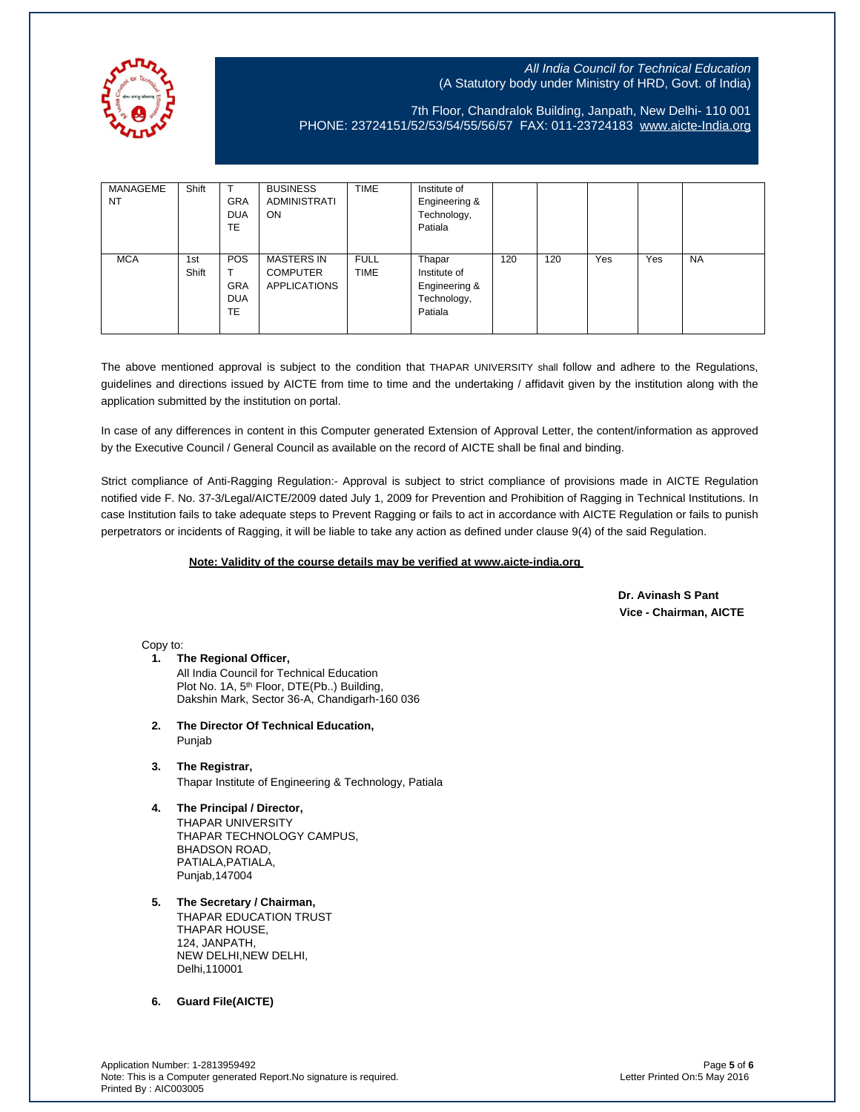

7th Floor, Chandralok Building, Janpath, New Delhi- 110 001 PHONE: 23724151/52/53/54/55/56/57 FAX: 011-23724183 [www.aicte-India.org](http://www.aicte-india.org/)

| MANAGEME<br><b>NT</b> | Shift        | <b>GRA</b><br><b>DUA</b><br><b>TE</b>               | <b>BUSINESS</b><br><b>ADMINISTRATI</b><br>ON                | <b>TIME</b>                | Institute of<br>Engineering &<br>Technology,<br>Patiala           |     |     |     |     |           |
|-----------------------|--------------|-----------------------------------------------------|-------------------------------------------------------------|----------------------------|-------------------------------------------------------------------|-----|-----|-----|-----|-----------|
| <b>MCA</b>            | 1st<br>Shift | <b>POS</b><br><b>GRA</b><br><b>DUA</b><br><b>TE</b> | <b>MASTERS IN</b><br><b>COMPUTER</b><br><b>APPLICATIONS</b> | <b>FULL</b><br><b>TIME</b> | Thapar<br>Institute of<br>Engineering &<br>Technology,<br>Patiala | 120 | 120 | Yes | Yes | <b>NA</b> |

The above mentioned approval is subject to the condition that THAPAR UNIVERSITY shall follow and adhere to the Regulations, guidelines and directions issued by AICTE from time to time and the undertaking / affidavit given by the institution along with the application submitted by the institution on portal.

In case of any differences in content in this Computer generated Extension of Approval Letter, the content/information as approved by the Executive Council / General Council as available on the record of AICTE shall be final and binding.

Strict compliance of Anti-Ragging Regulation:- Approval is subject to strict compliance of provisions made in AICTE Regulation notified vide F. No. 37-3/Legal/AICTE/2009 dated July 1, 2009 for Prevention and Prohibition of Ragging in Technical Institutions. In case Institution fails to take adequate steps to Prevent Ragging or fails to act in accordance with AICTE Regulation or fails to punish perpetrators or incidents of Ragging, it will be liable to take any action as defined under clause 9(4) of the said Regulation.

#### **Note: Validity of the course details may be verified at www.aicte-india.org**

 **Dr. Avinash S Pant Vice - Chairman, AICTE**

Copy to:

- **1. The Regional Officer,** All India Council for Technical Education Plot No. 1A, 5<sup>th</sup> Floor, DTE(Pb..) Building, Dakshin Mark, Sector 36-A, Chandigarh-160 036
- **2. The Director Of Technical Education,** Punjab
- **3. The Registrar,** Thapar Institute of Engineering & Technology, Patiala
- **4. The Principal / Director,** THAPAR UNIVERSITY THAPAR TECHNOLOGY CAMPUS, BHADSON ROAD, PATIALA, PATIALA, Punjab,147004
- **5. The Secretary / Chairman,** THAPAR EDUCATION TRUST THAPAR HOUSE, 124, JANPATH, NEW DELHI,NEW DELHI, Delhi,110001

**6. Guard File(AICTE)**